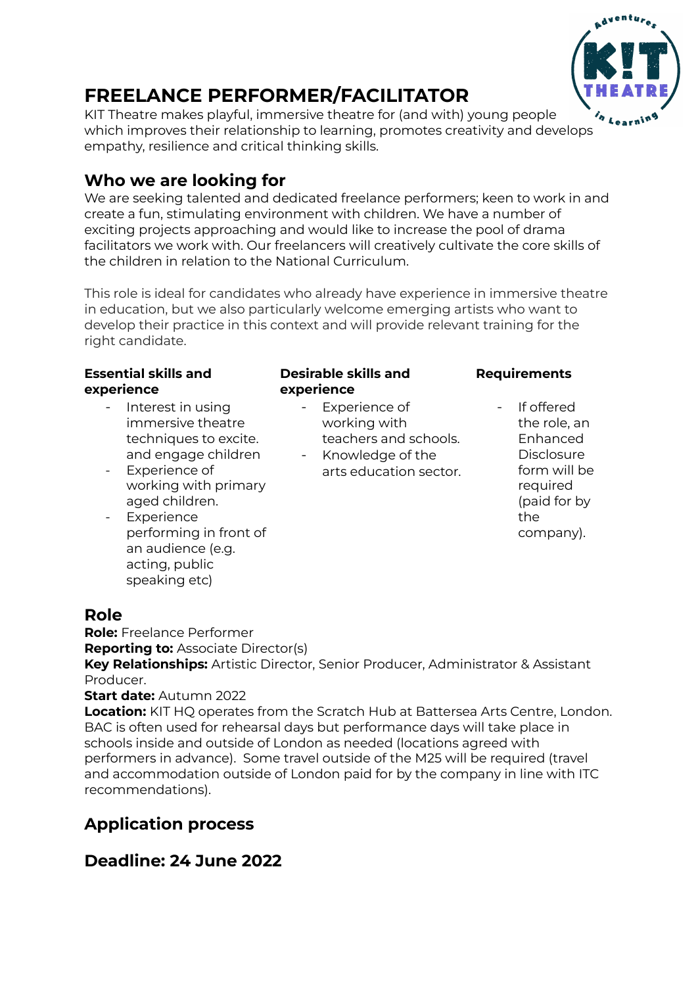

# **FREELANCE PERFORMER/FACILITATOR**

KIT Theatre makes playful, immersive theatre for (and with) young people which improves their relationship to learning, promotes creativity and develops empathy, resilience and critical thinking skills.

## **Who we are looking for**

We are seeking talented and dedicated freelance performers; keen to work in and create a fun, stimulating environment with children. We have a number of exciting projects approaching and would like to increase the pool of drama facilitators we work with. Our freelancers will creatively cultivate the core skills of the children in relation to the National Curriculum.

This role is ideal for candidates who already have experience in immersive theatre in education, but we also particularly welcome emerging artists who want to develop their practice in this context and will provide relevant training for the right candidate.

#### **Essential skills and experience**

- Interest in using immersive theatre techniques to excite. and engage children
- Experience of working with primary aged children.
- **Experience** performing in front of an audience (e.g. acting, public speaking etc)

#### **Desirable skills and experience**

- Experience of working with teachers and schools.
- Knowledge of the arts education sector.

### **Requirements**

If offered the role, an Enhanced **Disclosure** form will be required (paid for by the company).

### **Role**

**Role:** Freelance Performer

**Reporting to:** Associate Director(s)

**Key Relationships:** Artistic Director, Senior Producer, Administrator & Assistant Producer.

### **Start date:** Autumn 2022

**Location:** KIT HO operates from the Scratch Hub at Battersea Arts Centre, London. BAC is often used for rehearsal days but performance days will take place in schools inside and outside of London as needed (locations agreed with performers in advance). Some travel outside of the M25 will be required (travel and accommodation outside of London paid for by the company in line with ITC recommendations).

# **Application process**

# **Deadline: 24 June 2022**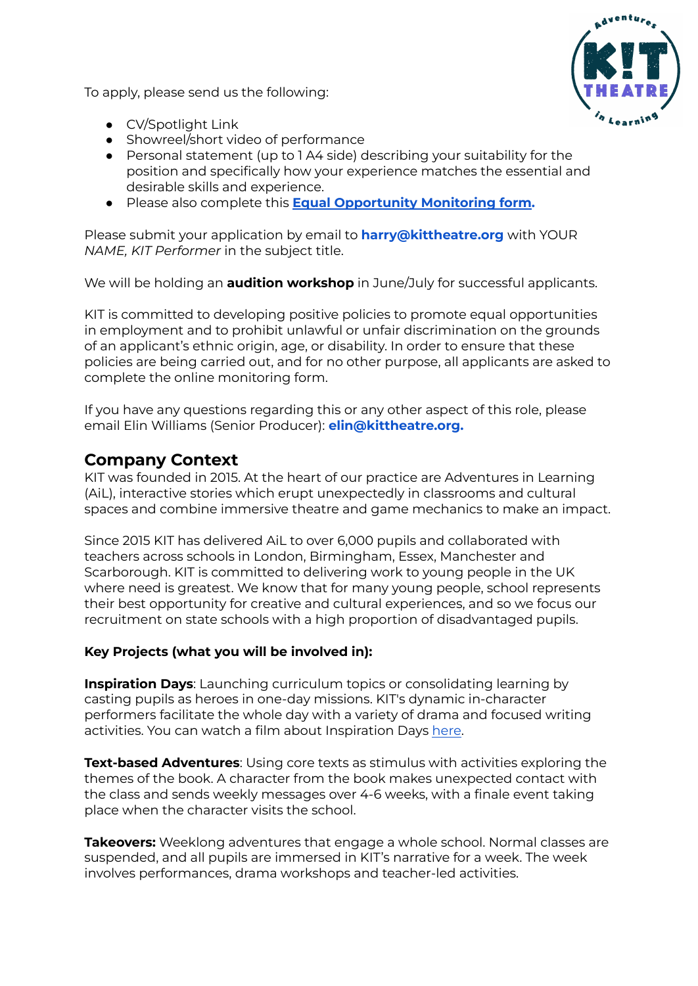To apply, please send us the following:



- CV/Spotlight Link
- Showreel/short video of performance
- Personal statement (up to 1 A4 side) describing your suitability for the position and specifically how your experience matches the essential and desirable skills and experience.
- Please also complete this **Equal [Opportunity](https://docs.google.com/forms/d/e/1FAIpQLSdFKYnHZvN6b9Ls6jlDbQFvYrzKBE0jVNNf2bcfn7zZCzVsvA/viewform?usp=sf_link) Monitoring form.**

Please submit your application by email to **harry@kittheatre.org** with YOUR *NAME, KIT Performer* in the subject title.

We will be holding an **audition workshop** in June/July for successful applicants.

KIT is committed to developing positive policies to promote equal opportunities in employment and to prohibit unlawful or unfair discrimination on the grounds of an applicant's ethnic origin, age, or disability. In order to ensure that these policies are being carried out, and for no other purpose, all applicants are asked to complete the online monitoring form.

If you have any questions regarding this or any other aspect of this role, please email Elin Williams (Senior Producer): **elin@kittheatre.org.**

### **Company Context**

KIT was founded in 2015. At the heart of our practice are Adventures in Learning (AiL), interactive stories which erupt unexpectedly in classrooms and cultural spaces and combine immersive theatre and game mechanics to make an impact.

Since 2015 KIT has delivered AiL to over 6,000 pupils and collaborated with teachers across schools in London, Birmingham, Essex, Manchester and Scarborough. KIT is committed to delivering work to young people in the UK where need is greatest. We know that for many young people, school represents their best opportunity for creative and cultural experiences, and so we focus our recruitment on state schools with a high proportion of disadvantaged pupils.

#### **Key Projects (what you will be involved in):**

**Inspiration Days**: Launching curriculum topics or consolidating learning by casting pupils as heroes in one-day missions. KIT's dynamic in-character performers facilitate the whole day with a variety of drama and focused writing activities. You can watch a film about Inspiration Days [here](https://www.youtube.com/watch?v=xm1oROvhdH8&feature=youtu.be).

**Text-based Adventures**: Using core texts as stimulus with activities exploring the themes of the book. A character from the book makes unexpected contact with the class and sends weekly messages over 4-6 weeks, with a finale event taking place when the character visits the school.

**Takeovers:** Weeklong adventures that engage a whole school. Normal classes are suspended, and all pupils are immersed in KIT's narrative for a week. The week involves performances, drama workshops and teacher-led activities.